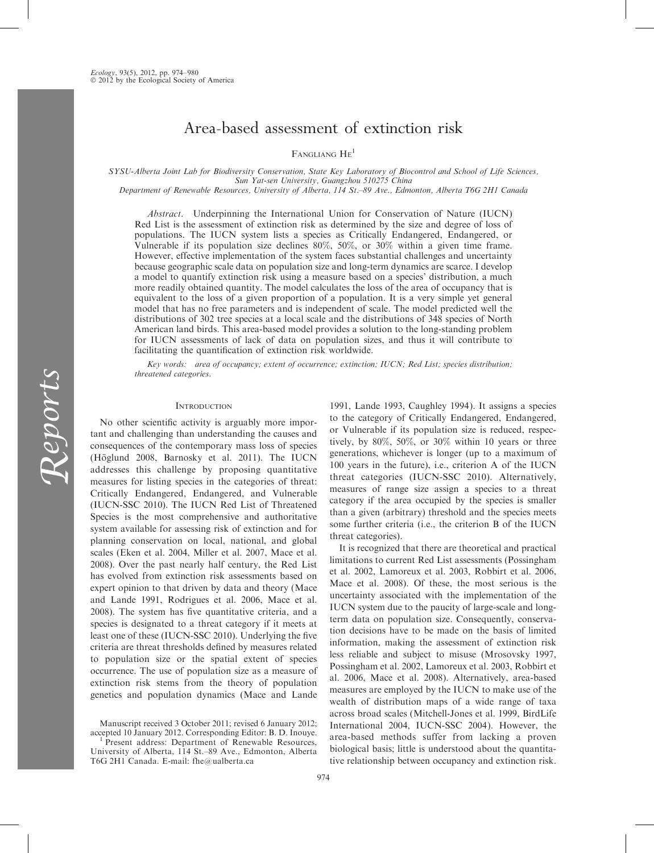# Area-based assessment of extinction risk

FANGLIANG HE<sup>1</sup>

SYSU-Alberta Joint Lab for Biodiversity Conservation, State Key Laboratory of Biocontrol and School of Life Sciences, Sun Yat-sen University, Guangzhou 510275 China

Department of Renewable Resources, University of Alberta, 114 St.–89 Ave., Edmonton, Alberta T6G 2H1 Canada

Abstract. Underpinning the International Union for Conservation of Nature (IUCN) Red List is the assessment of extinction risk as determined by the size and degree of loss of populations. The IUCN system lists a species as Critically Endangered, Endangered, or Vulnerable if its population size declines 80%, 50%, or 30% within a given time frame. However, effective implementation of the system faces substantial challenges and uncertainty because geographic scale data on population size and long-term dynamics are scarce. I develop a model to quantify extinction risk using a measure based on a species' distribution, a much more readily obtained quantity. The model calculates the loss of the area of occupancy that is equivalent to the loss of a given proportion of a population. It is a very simple yet general model that has no free parameters and is independent of scale. The model predicted well the distributions of 302 tree species at a local scale and the distributions of 348 species of North American land birds. This area-based model provides a solution to the long-standing problem for IUCN assessments of lack of data on population sizes, and thus it will contribute to facilitating the quantification of extinction risk worldwide.

Key words: area of occupancy; extent of occurrence; extinction; IUCN; Red List; species distribution; threatened categories.

## **INTRODUCTION**

No other scientific activity is arguably more important and challenging than understanding the causes and consequences of the contemporary mass loss of species (Höglund 2008, Barnosky et al. 2011). The IUCN addresses this challenge by proposing quantitative measures for listing species in the categories of threat: Critically Endangered, Endangered, and Vulnerable (IUCN-SSC 2010). The IUCN Red List of Threatened Species is the most comprehensive and authoritative system available for assessing risk of extinction and for planning conservation on local, national, and global scales (Eken et al. 2004, Miller et al. 2007, Mace et al. 2008). Over the past nearly half century, the Red List has evolved from extinction risk assessments based on expert opinion to that driven by data and theory (Mace and Lande 1991, Rodrigues et al. 2006, Mace et al. 2008). The system has five quantitative criteria, and a species is designated to a threat category if it meets at least one of these (IUCN-SSC 2010). Underlying the five criteria are threat thresholds defined by measures related to population size or the spatial extent of species occurrence. The use of population size as a measure of extinction risk stems from the theory of population genetics and population dynamics (Mace and Lande

1991, Lande 1993, Caughley 1994). It assigns a species to the category of Critically Endangered, Endangered, or Vulnerable if its population size is reduced, respectively, by 80%, 50%, or 30% within 10 years or three generations, whichever is longer (up to a maximum of 100 years in the future), i.e., criterion A of the IUCN threat categories (IUCN-SSC 2010). Alternatively, measures of range size assign a species to a threat category if the area occupied by the species is smaller than a given (arbitrary) threshold and the species meets some further criteria (i.e., the criterion B of the IUCN threat categories).

It is recognized that there are theoretical and practical limitations to current Red List assessments (Possingham et al. 2002, Lamoreux et al. 2003, Robbirt et al. 2006, Mace et al. 2008). Of these, the most serious is the uncertainty associated with the implementation of the IUCN system due to the paucity of large-scale and longterm data on population size. Consequently, conservation decisions have to be made on the basis of limited information, making the assessment of extinction risk less reliable and subject to misuse (Mrosovsky 1997, Possingham et al. 2002, Lamoreux et al. 2003, Robbirt et al. 2006, Mace et al. 2008). Alternatively, area-based measures are employed by the IUCN to make use of the wealth of distribution maps of a wide range of taxa across broad scales (Mitchell-Jones et al. 1999, BirdLife International 2004, IUCN-SSC 2004). However, the area-based methods suffer from lacking a proven biological basis; little is understood about the quantitative relationship between occupancy and extinction risk.

Manuscript received 3 October 2011; revised 6 January 2012; accepted 10 January 2012. Corresponding Editor: B. D. Inouye. <sup>1</sup> Present address: Department of Renewable Resources,

University of Alberta, 114 St.–89 Ave., Edmonton, Alberta T6G 2H1 Canada. E-mail: fhe@ualberta.ca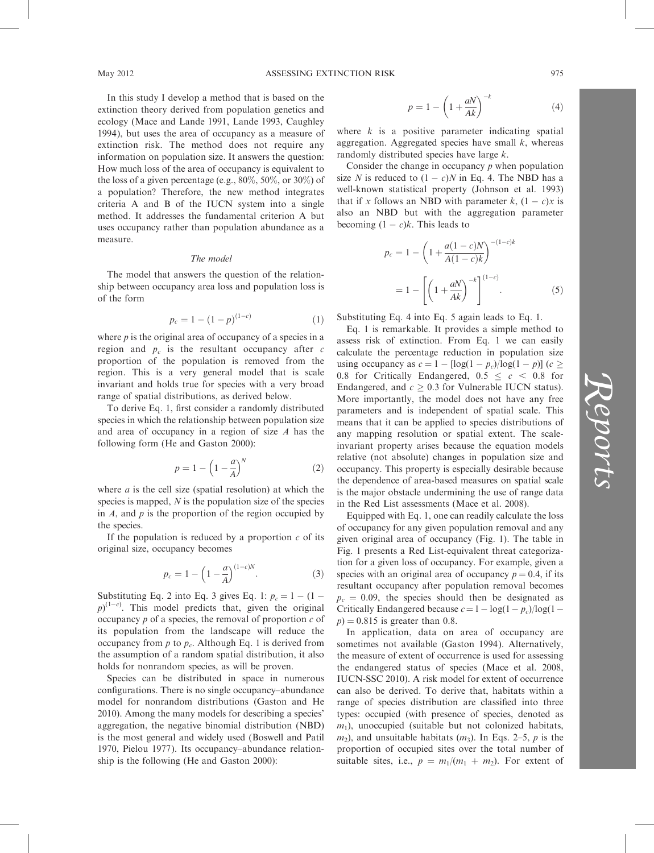In this study I develop a method that is based on the extinction theory derived from population genetics and ecology (Mace and Lande 1991, Lande 1993, Caughley 1994), but uses the area of occupancy as a measure of extinction risk. The method does not require any information on population size. It answers the question: How much loss of the area of occupancy is equivalent to the loss of a given percentage (e.g., 80%, 50%, or 30%) of a population? Therefore, the new method integrates criteria A and B of the IUCN system into a single method. It addresses the fundamental criterion A but uses occupancy rather than population abundance as a measure.

### The model

The model that answers the question of the relationship between occupancy area loss and population loss is of the form

$$
p_c = 1 - (1 - p)^{(1 - c)} \tag{1}
$$

where  $p$  is the original area of occupancy of a species in a region and  $p_c$  is the resultant occupancy after c proportion of the population is removed from the region. This is a very general model that is scale invariant and holds true for species with a very broad range of spatial distributions, as derived below.

To derive Eq. 1, first consider a randomly distributed species in which the relationship between population size and area of occupancy in a region of size A has the following form (He and Gaston 2000):

$$
p = 1 - \left(1 - \frac{a}{A}\right)^N \tag{2}
$$

where  $a$  is the cell size (spatial resolution) at which the species is mapped,  $N$  is the population size of the species in  $A$ , and  $p$  is the proportion of the region occupied by the species.

If the population is reduced by a proportion  $c$  of its original size, occupancy becomes

$$
p_c = 1 - \left(1 - \frac{a}{A}\right)^{(1-c)N}.
$$
 (3)

Substituting Eq. 2 into Eq. 3 gives Eq. 1:  $p_c = 1 - (1 (p)^{(1-c)}$ . This model predicts that, given the original occupancy  $p$  of a species, the removal of proportion  $c$  of its population from the landscape will reduce the occupancy from  $p$  to  $p_c$ . Although Eq. 1 is derived from the assumption of a random spatial distribution, it also holds for nonrandom species, as will be proven.

Species can be distributed in space in numerous configurations. There is no single occupancy–abundance model for nonrandom distributions (Gaston and He 2010). Among the many models for describing a species' aggregation, the negative binomial distribution (NBD) is the most general and widely used (Boswell and Patil 1970, Pielou 1977). Its occupancy–abundance relationship is the following (He and Gaston 2000):

$$
p = 1 - \left(1 + \frac{aN}{Ak}\right)^{-k} \tag{4}
$$

where  $k$  is a positive parameter indicating spatial aggregation. Aggregated species have small  $k$ , whereas randomly distributed species have large k.

Consider the change in occupancy  $p$  when population size N is reduced to  $(1 - c)N$  in Eq. 4. The NBD has a well-known statistical property (Johnson et al. 1993) that if x follows an NBD with parameter  $k$ ,  $(1 - c)x$  is also an NBD but with the aggregation parameter becoming  $(1 - c)k$ . This leads to

$$
p_c = 1 - \left(1 + \frac{a(1 - c)N}{A(1 - c)k}\right)^{-(1 - c)k}
$$

$$
= 1 - \left[\left(1 + \frac{aN}{Ak}\right)^{-k}\right]^{(1 - c)}.
$$
(5)

Substituting Eq. 4 into Eq. 5 again leads to Eq. 1.

Eq. 1 is remarkable. It provides a simple method to assess risk of extinction. From Eq. 1 we can easily calculate the percentage reduction in population size using occupancy as  $c = 1 - [\log(1 - p_c)/\log(1 - p)]$  ( $c \ge$ 0.8 for Critically Endangered,  $0.5 \leq c \leq 0.8$  for Endangered, and  $c \geq 0.3$  for Vulnerable IUCN status). More importantly, the model does not have any free parameters and is independent of spatial scale. This means that it can be applied to species distributions of any mapping resolution or spatial extent. The scaleinvariant property arises because the equation models relative (not absolute) changes in population size and occupancy. This property is especially desirable because the dependence of area-based measures on spatial scale is the major obstacle undermining the use of range data in the Red List assessments (Mace et al. 2008).

Equipped with Eq. 1, one can readily calculate the loss of occupancy for any given population removal and any given original area of occupancy (Fig. 1). The table in Fig. 1 presents a Red List-equivalent threat categorization for a given loss of occupancy. For example, given a species with an original area of occupancy  $p = 0.4$ , if its resultant occupancy after population removal becomes  $p_c = 0.09$ , the species should then be designated as Critically Endangered because  $c = 1 - \log(1 - p_c)/\log(1$  $p$ ) = 0.815 is greater than 0.8.

In application, data on area of occupancy are sometimes not available (Gaston 1994). Alternatively, the measure of extent of occurrence is used for assessing the endangered status of species (Mace et al. 2008, IUCN-SSC 2010). A risk model for extent of occurrence can also be derived. To derive that, habitats within a range of species distribution are classified into three types: occupied (with presence of species, denoted as  $m_1$ ), unoccupied (suitable but not colonized habitats,  $m_2$ ), and unsuitable habitats  $(m_3)$ . In Eqs. 2–5, p is the proportion of occupied sites over the total number of suitable sites, i.e.,  $p = m_1/(m_1 + m_2)$ . For extent of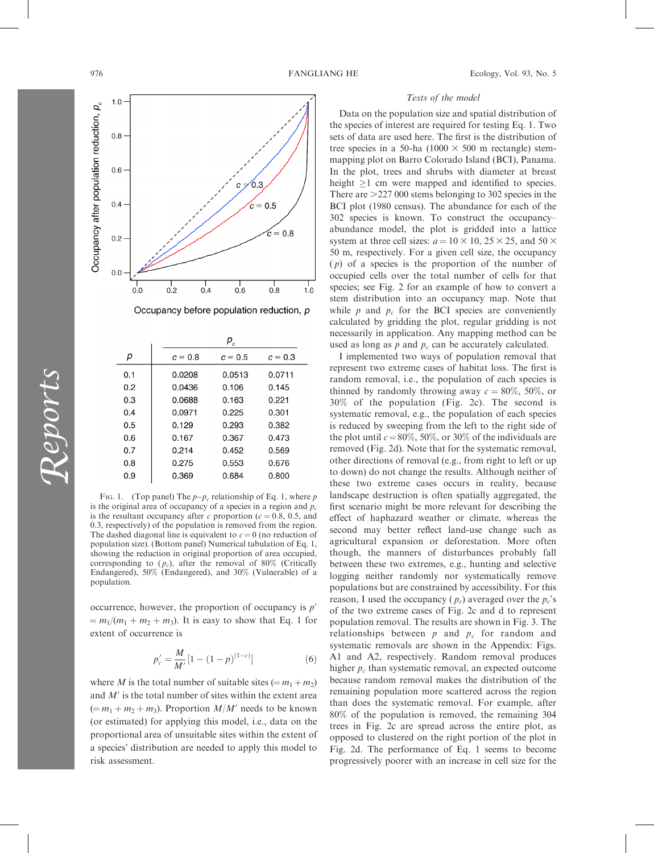

Occupancy before population reduction, p

|     | $P_c$     |           |           |
|-----|-----------|-----------|-----------|
| р   | $c = 0.8$ | $c = 0.5$ | $c = 0.3$ |
| 0.1 | 0.0208    | 0.0513    | 0.0711    |
| 0.2 | 0.0436    | 0.106     | 0.145     |
| 0.3 | 0.0688    | 0.163     | 0.221     |
| 0.4 | 0.0971    | 0.225     | 0.301     |
| 0.5 | 0.129     | 0.293     | 0.382     |
| 0.6 | 0.167     | 0.367     | 0.473     |
| 0.7 | 0.214     | 0.452     | 0.569     |
| 0.8 | 0.275     | 0.553     | 0.676     |
| 0.9 | 0.369     | 0.684     | 0.800     |
|     |           |           |           |

Fig. 1. (Top panel) The  $p-p_c$  relationship of Eq. 1, where p is the original area of occupancy of a species in a region and  $p_c$ is the resultant occupancy after c proportion ( $c = 0.8, 0.5,$  and 0.3, respectively) of the population is removed from the region. The dashed diagonal line is equivalent to  $c = 0$  (no reduction of population size). (Bottom panel) Numerical tabulation of Eq. 1, showing the reduction in original proportion of area occupied, corresponding to  $(p_c)$ , after the removal of 80% (Critically Endangered), 50% (Endangered), and 30% (Vulnerable) of a population.

occurrence, however, the proportion of occupancy is  $p'$  $= m_1/(m_1 + m_2 + m_3)$ . It is easy to show that Eq. 1 for extent of occurrence is

$$
p'_c = \frac{M}{M'} [1 - (1 - p)^{(1 - c)}]
$$
 (6)

where M is the total number of suitable sites  $(= m_1 + m_2)$ and  $M'$  is the total number of sites within the extent area  $(= m_1 + m_2 + m_3)$ . Proportion  $M/M'$  needs to be known (or estimated) for applying this model, i.e., data on the proportional area of unsuitable sites within the extent of a species' distribution are needed to apply this model to risk assessment.

## Tests of the model

Data on the population size and spatial distribution of the species of interest are required for testing Eq. 1. Two sets of data are used here. The first is the distribution of tree species in a 50-ha (1000  $\times$  500 m rectangle) stemmapping plot on Barro Colorado Island (BCI), Panama. In the plot, trees and shrubs with diameter at breast height  $>1$  cm were mapped and identified to species. There are  $>227,000$  stems belonging to 302 species in the BCI plot (1980 census). The abundance for each of the 302 species is known. To construct the occupancy– abundance model, the plot is gridded into a lattice system at three cell sizes:  $a = 10 \times 10$ ,  $25 \times 25$ , and  $50 \times$ 50 m, respectively. For a given cell size, the occupancy  $(p)$  of a species is the proportion of the number of occupied cells over the total number of cells for that species; see Fig. 2 for an example of how to convert a stem distribution into an occupancy map. Note that while  $p$  and  $p_c$  for the BCI species are conveniently calculated by gridding the plot, regular gridding is not necessarily in application. Any mapping method can be used as long as  $p$  and  $p_c$  can be accurately calculated.

I implemented two ways of population removal that represent two extreme cases of habitat loss. The first is random removal, i.e., the population of each species is thinned by randomly throwing away  $c = 80\%$ , 50%, or 30% of the population (Fig. 2c). The second is systematic removal, e.g., the population of each species is reduced by sweeping from the left to the right side of the plot until  $c = 80\%$ , 50%, or 30% of the individuals are removed (Fig. 2d). Note that for the systematic removal, other directions of removal (e.g., from right to left or up to down) do not change the results. Although neither of these two extreme cases occurs in reality, because landscape destruction is often spatially aggregated, the first scenario might be more relevant for describing the effect of haphazard weather or climate, whereas the second may better reflect land-use change such as agricultural expansion or deforestation. More often though, the manners of disturbances probably fall between these two extremes, e.g., hunting and selective logging neither randomly nor systematically remove populations but are constrained by accessibility. For this reason, I used the occupancy  $(p_c)$  averaged over the  $p_c$ 's of the two extreme cases of Fig. 2c and d to represent population removal. The results are shown in Fig. 3. The relationships between  $p$  and  $p_c$  for random and systematic removals are shown in the Appendix: Figs. A1 and A2, respectively. Random removal produces higher  $p_c$  than systematic removal, an expected outcome because random removal makes the distribution of the remaining population more scattered across the region than does the systematic removal. For example, after 80% of the population is removed, the remaining 304 trees in Fig. 2c are spread across the entire plot, as opposed to clustered on the right portion of the plot in Fig. 2d. The performance of Eq. 1 seems to become progressively poorer with an increase in cell size for the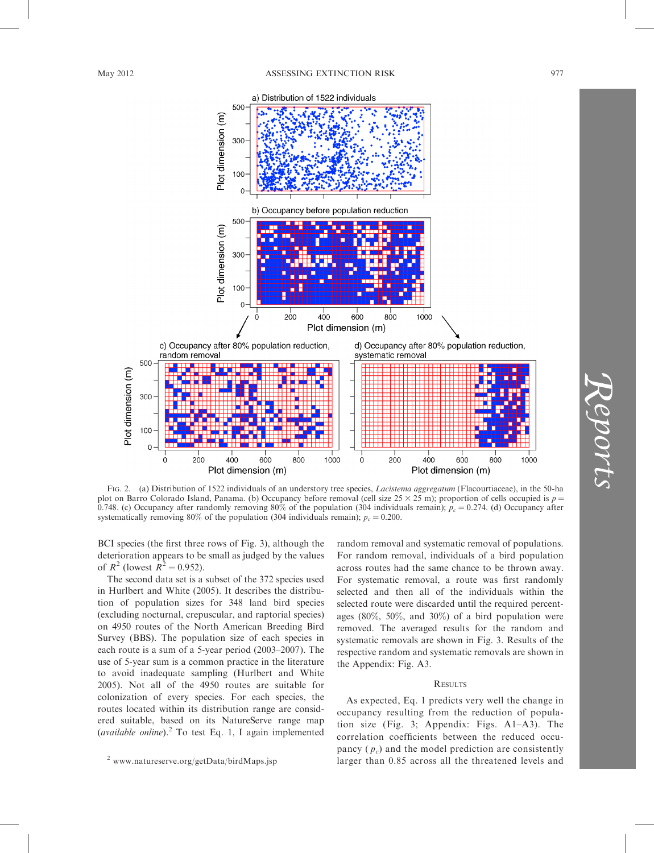

FIG. 2. (a) Distribution of 1522 individuals of an understory tree species, *Lacistema aggregatum* (Flacourtiaceae), in the 50-ha plot on Barro Colorado Island, Panama. (b) Occupancy before removal (cell size  $25 \times 25$  m); proportion of cells occupied is  $p =$ 0.748. (c) Occupancy after randomly removing 80% of the population (304 individuals remain);  $p_c = 0.274$ . (d) Occupancy after systematically removing 80% of the population (304 individuals remain);  $p_c = 0.200$ .

BCI species (the first three rows of Fig. 3), although the deterioration appears to be small as judged by the values of  $R^2$  (lowest  $R^2 = 0.952$ ).

The second data set is a subset of the 372 species used in Hurlbert and White (2005). It describes the distribution of population sizes for 348 land bird species (excluding nocturnal, crepuscular, and raptorial species) on 4950 routes of the North American Breeding Bird Survey (BBS). The population size of each species in each route is a sum of a 5-year period (2003–2007). The use of 5-year sum is a common practice in the literature to avoid inadequate sampling (Hurlbert and White 2005). Not all of the 4950 routes are suitable for colonization of every species. For each species, the routes located within its distribution range are considered suitable, based on its NatureServe range map (available online). $^{2}$  To test Eq. 1, I again implemented random removal and systematic removal of populations. For random removal, individuals of a bird population across routes had the same chance to be thrown away. For systematic removal, a route was first randomly selected and then all of the individuals within the selected route were discarded until the required percentages (80%, 50%, and 30%) of a bird population were removed. The averaged results for the random and systematic removals are shown in Fig. 3. Results of the respective random and systematic removals are shown in the Appendix: Fig. A3.

## **RESULTS**

As expected, Eq. 1 predicts very well the change in occupancy resulting from the reduction of population size (Fig. 3; Appendix: Figs. A1–A3). The correlation coefficients between the reduced occupancy  $(p_c)$  and the model prediction are consistently larger than 0.85 across all the threatened levels and

Reports

 $2$  www.natureserve.org/getData/birdMaps.jsp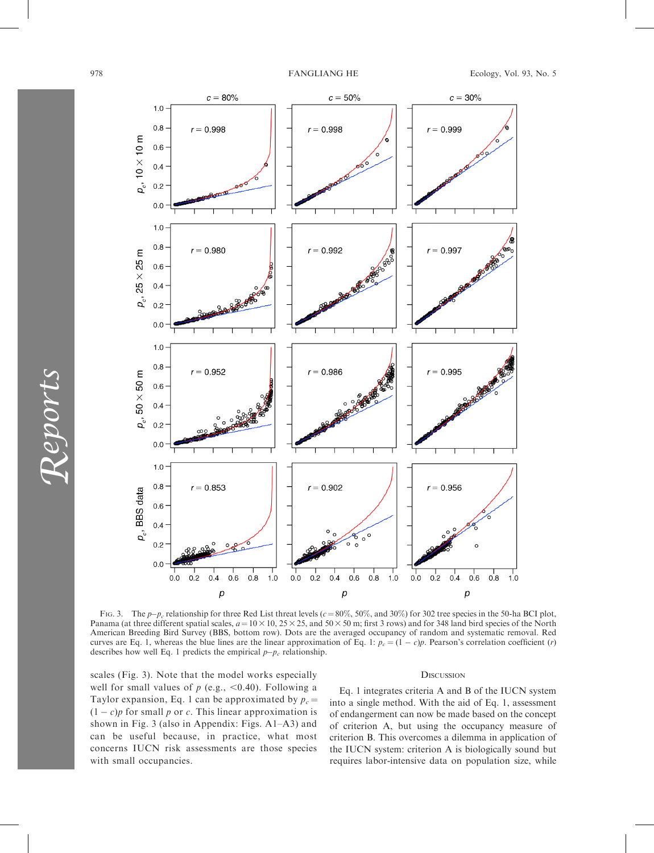

FIG. 3. The  $p-p_c$  relationship for three Red List threat levels ( $c = 80\%$ , 50%, and 30%) for 302 tree species in the 50-ha BCI plot, Panama (at three different spatial scales,  $a = 10 \times 10$ ,  $25 \times 25$ , and  $50 \times 50$  m; first 3 rows) and for 348 land bird species of the North American Breeding Bird Survey (BBS, bottom row). Dots are the averaged occupancy of random and systematic removal. Red curves are Eq. 1, whereas the blue lines are the linear approximation of Eq. 1:  $p_c = (1 - c)p$ . Pearson's correlation coefficient (*r*) describes how well Eq. 1 predicts the empirical  $p-p_c$  relationship.

scales (Fig. 3). Note that the model works especially well for small values of  $p$  (e.g., <0.40). Following a Taylor expansion, Eq. 1 can be approximated by  $p_c =$  $(1 - c)p$  for small p or c. This linear approximation is shown in Fig. 3 (also in Appendix: Figs. A1–A3) and can be useful because, in practice, what most concerns IUCN risk assessments are those species with small occupancies.

## **DISCUSSION**

Eq. 1 integrates criteria A and B of the IUCN system into a single method. With the aid of Eq. 1, assessment of endangerment can now be made based on the concept of criterion A, but using the occupancy measure of criterion B. This overcomes a dilemma in application of the IUCN system: criterion A is biologically sound but requires labor-intensive data on population size, while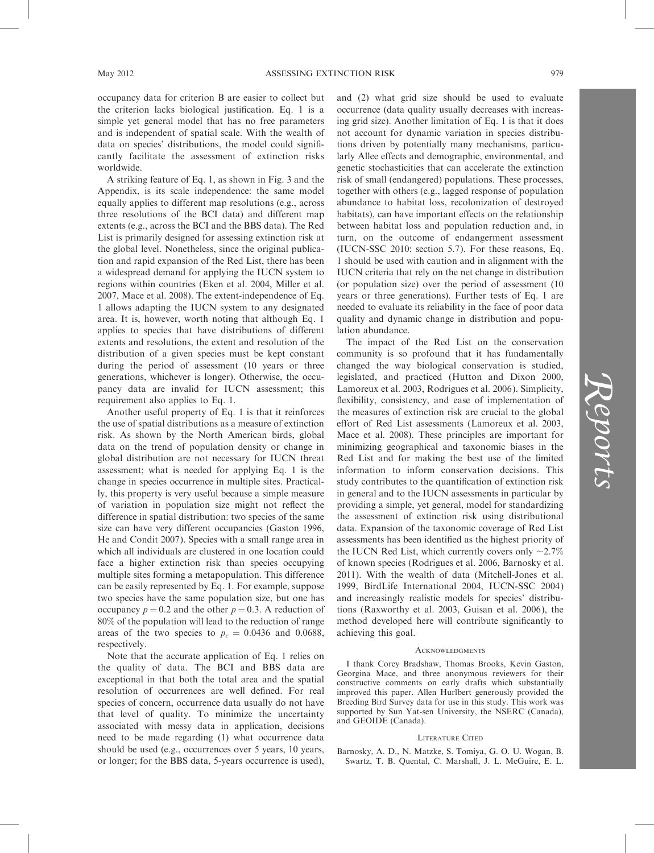occupancy data for criterion B are easier to collect but the criterion lacks biological justification. Eq. 1 is a simple yet general model that has no free parameters and is independent of spatial scale. With the wealth of data on species' distributions, the model could significantly facilitate the assessment of extinction risks worldwide.

A striking feature of Eq. 1, as shown in Fig. 3 and the Appendix, is its scale independence: the same model equally applies to different map resolutions (e.g., across three resolutions of the BCI data) and different map extents (e.g., across the BCI and the BBS data). The Red List is primarily designed for assessing extinction risk at the global level. Nonetheless, since the original publication and rapid expansion of the Red List, there has been a widespread demand for applying the IUCN system to regions within countries (Eken et al. 2004, Miller et al. 2007, Mace et al. 2008). The extent-independence of Eq. 1 allows adapting the IUCN system to any designated area. It is, however, worth noting that although Eq. 1 applies to species that have distributions of different extents and resolutions, the extent and resolution of the distribution of a given species must be kept constant during the period of assessment (10 years or three generations, whichever is longer). Otherwise, the occupancy data are invalid for IUCN assessment; this requirement also applies to Eq. 1.

Another useful property of Eq. 1 is that it reinforces the use of spatial distributions as a measure of extinction risk. As shown by the North American birds, global data on the trend of population density or change in global distribution are not necessary for IUCN threat assessment; what is needed for applying Eq. 1 is the change in species occurrence in multiple sites. Practically, this property is very useful because a simple measure of variation in population size might not reflect the difference in spatial distribution: two species of the same size can have very different occupancies (Gaston 1996, He and Condit 2007). Species with a small range area in which all individuals are clustered in one location could face a higher extinction risk than species occupying multiple sites forming a metapopulation. This difference can be easily represented by Eq. 1. For example, suppose two species have the same population size, but one has occupancy  $p = 0.2$  and the other  $p = 0.3$ . A reduction of 80% of the population will lead to the reduction of range areas of the two species to  $p_c = 0.0436$  and 0.0688, respectively.

Note that the accurate application of Eq. 1 relies on the quality of data. The BCI and BBS data are exceptional in that both the total area and the spatial resolution of occurrences are well defined. For real species of concern, occurrence data usually do not have that level of quality. To minimize the uncertainty associated with messy data in application, decisions need to be made regarding (1) what occurrence data should be used (e.g., occurrences over 5 years, 10 years, or longer; for the BBS data, 5-years occurrence is used), and (2) what grid size should be used to evaluate occurrence (data quality usually decreases with increasing grid size). Another limitation of Eq. 1 is that it does not account for dynamic variation in species distributions driven by potentially many mechanisms, particularly Allee effects and demographic, environmental, and genetic stochasticities that can accelerate the extinction risk of small (endangered) populations. These processes, together with others (e.g., lagged response of population abundance to habitat loss, recolonization of destroyed habitats), can have important effects on the relationship between habitat loss and population reduction and, in turn, on the outcome of endangerment assessment (IUCN-SSC 2010: section 5.7). For these reasons, Eq. 1 should be used with caution and in alignment with the IUCN criteria that rely on the net change in distribution (or population size) over the period of assessment (10 years or three generations). Further tests of Eq. 1 are needed to evaluate its reliability in the face of poor data quality and dynamic change in distribution and population abundance.

The impact of the Red List on the conservation community is so profound that it has fundamentally changed the way biological conservation is studied, legislated, and practiced (Hutton and Dixon 2000, Lamoreux et al. 2003, Rodrigues et al. 2006). Simplicity, flexibility, consistency, and ease of implementation of the measures of extinction risk are crucial to the global effort of Red List assessments (Lamoreux et al. 2003, Mace et al. 2008). These principles are important for minimizing geographical and taxonomic biases in the Red List and for making the best use of the limited information to inform conservation decisions. This study contributes to the quantification of extinction risk in general and to the IUCN assessments in particular by providing a simple, yet general, model for standardizing the assessment of extinction risk using distributional data. Expansion of the taxonomic coverage of Red List assessments has been identified as the highest priority of the IUCN Red List, which currently covers only  $\sim$ 2.7% of known species (Rodrigues et al. 2006, Barnosky et al. 2011). With the wealth of data (Mitchell-Jones et al. 1999, BirdLife International 2004, IUCN-SSC 2004) and increasingly realistic models for species' distributions (Raxworthy et al. 2003, Guisan et al. 2006), the method developed here will contribute significantly to achieving this goal.

#### **ACKNOWLEDGMENTS**

I thank Corey Bradshaw, Thomas Brooks, Kevin Gaston, Georgina Mace, and three anonymous reviewers for their constructive comments on early drafts which substantially improved this paper. Allen Hurlbert generously provided the Breeding Bird Survey data for use in this study. This work was supported by Sun Yat-sen University, the NSERC (Canada), and GEOIDE (Canada).

#### LITERATURE CITED

Barnosky, A. D., N. Matzke, S. Tomiya, G. O. U. Wogan, B. Swartz, T. B. Quental, C. Marshall, J. L. McGuire, E. L.